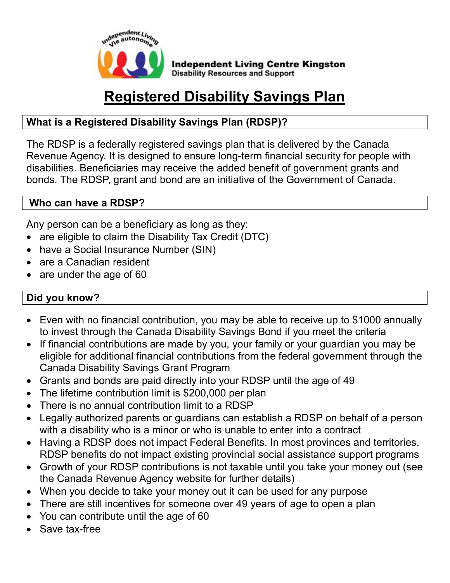

# **Registered Disability Savings Plan**

### **What is a Registered Disability Savings Plan (RDSP)?**

The RDSP is a federally registered savings plan that is delivered by the Canada Revenue Agency. It is designed to ensure long-term financial security for people with disabilities. Beneficiaries may receive the added benefit of government grants and bonds. The RDSP, grant and bond are an initiative of the Government of Canada.

#### **Who can have a RDSP?**

Any person can be a beneficiary as long as they:

- are eligible to claim the Disability Tax Credit (DTC)
- have a Social Insurance Number (SIN)
- are a Canadian resident
- are under the age of 60

### **Did you know?**

- Even with no financial contribution, you may be able to receive up to \$1000 annually to invest through the Canada Disability Savings Bond if you meet the criteria
- If financial contributions are made by you, your family or your quardian you may be eligible for additional financial contributions from the federal government through the Canada Disability Savings Grant Program
- Grants and bonds are paid directly into your RDSP until the age of 49
- The lifetime contribution limit is \$200,000 per plan
- There is no annual contribution limit to a RDSP
- Legally authorized parents or guardians can establish a RDSP on behalf of a person with a disability who is a minor or who is unable to enter into a contract
- Having a RDSP does not impact Federal Benefits. In most provinces and territories, RDSP benefits do not impact existing provincial social assistance support programs
- Growth of your RDSP contributions is not taxable until you take your money out (see the Canada Revenue Agency website for further details)
- When you decide to take your money out it can be used for any purpose
- There are still incentives for someone over 49 years of age to open a plan
- You can contribute until the age of 60
- Save tax-free